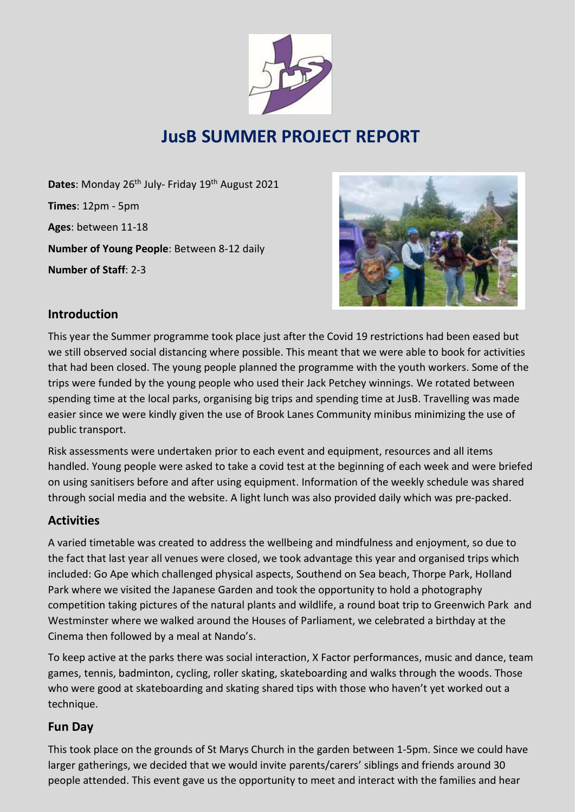

# **JusB SUMMER PROJECT REPORT**

Dates: Monday 26<sup>th</sup> July- Friday 19<sup>th</sup> August 2021 **Times**: 12pm - 5pm **Ages**: between 11-18 **Number of Young People**: Between 8-12 daily **Number of Staff**: 2-3



## **Introduction**

This year the Summer programme took place just after the Covid 19 restrictions had been eased but we still observed social distancing where possible. This meant that we were able to book for activities that had been closed. The young people planned the programme with the youth workers. Some of the trips were funded by the young people who used their Jack Petchey winnings. We rotated between spending time at the local parks, organising big trips and spending time at JusB. Travelling was made easier since we were kindly given the use of Brook Lanes Community minibus minimizing the use of public transport.

Risk assessments were undertaken prior to each event and equipment, resources and all items handled. Young people were asked to take a covid test at the beginning of each week and were briefed on using sanitisers before and after using equipment. Information of the weekly schedule was shared through social media and the website. A light lunch was also provided daily which was pre-packed.

## **Activities**

A varied timetable was created to address the wellbeing and mindfulness and enjoyment, so due to the fact that last year all venues were closed, we took advantage this year and organised trips which included: Go Ape which challenged physical aspects, Southend on Sea beach, Thorpe Park, Holland Park where we visited the Japanese Garden and took the opportunity to hold a photography competition taking pictures of the natural plants and wildlife, a round boat trip to Greenwich Park and Westminster where we walked around the Houses of Parliament, we celebrated a birthday at the Cinema then followed by a meal at Nando's.

To keep active at the parks there was social interaction, X Factor performances, music and dance, team games, tennis, badminton, cycling, roller skating, skateboarding and walks through the woods. Those who were good at skateboarding and skating shared tips with those who haven't yet worked out a technique.

#### **Fun Day**

This took place on the grounds of St Marys Church in the garden between 1-5pm. Since we could have larger gatherings, we decided that we would invite parents/carers' siblings and friends around 30 people attended. This event gave us the opportunity to meet and interact with the families and hear